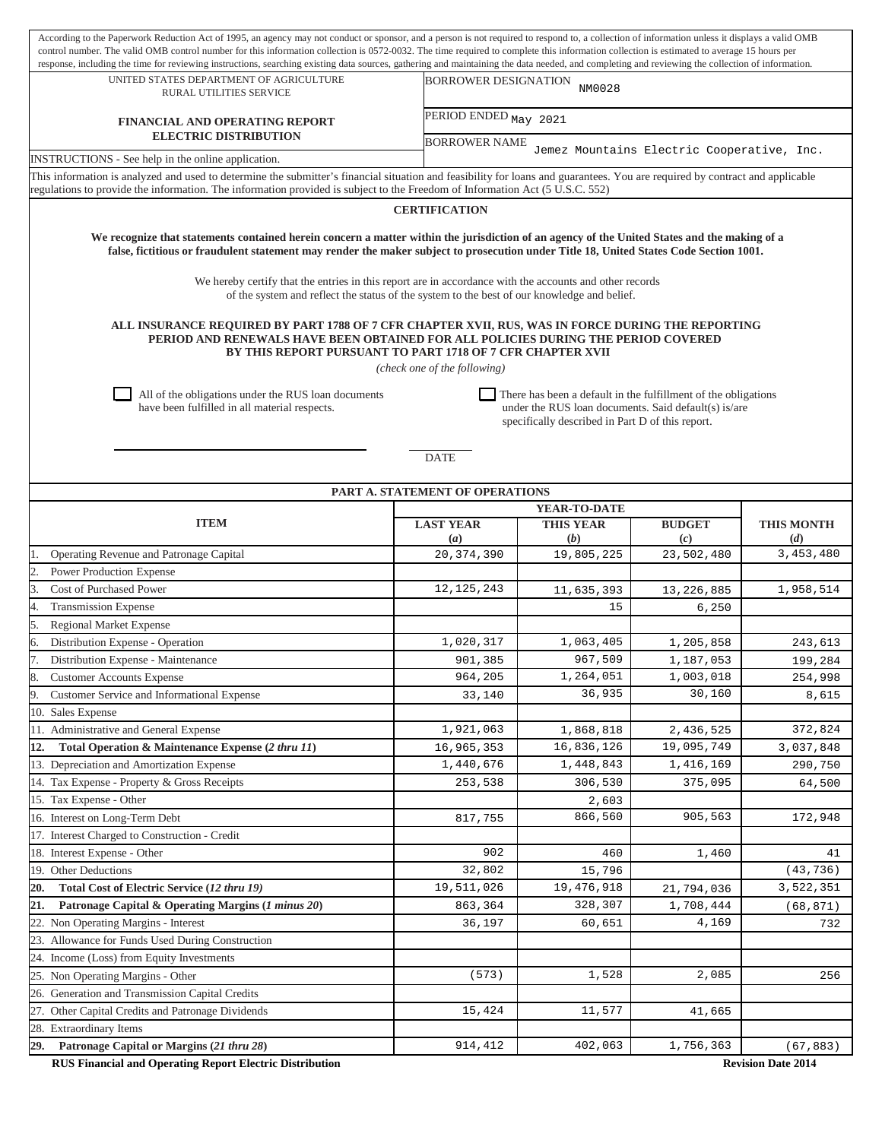| According to the Paperwork Reduction Act of 1995, an agency may not conduct or sponsor, and a person is not required to respond to, a collection of information unless it displays a valid OMB<br>control number. The valid OMB control number for this information collection is 0572-0032. The time required to complete this information collection is estimated to average 15 hours per |                                                                                                                                                                            |                                                                                                                                                                                                  |                   |                   |  |  |  |  |  |  |
|---------------------------------------------------------------------------------------------------------------------------------------------------------------------------------------------------------------------------------------------------------------------------------------------------------------------------------------------------------------------------------------------|----------------------------------------------------------------------------------------------------------------------------------------------------------------------------|--------------------------------------------------------------------------------------------------------------------------------------------------------------------------------------------------|-------------------|-------------------|--|--|--|--|--|--|
| UNITED STATES DEPARTMENT OF AGRICULTURE                                                                                                                                                                                                                                                                                                                                                     |                                                                                                                                                                            | response, including the time for reviewing instructions, searching existing data sources, gathering and maintaining the data needed, and completing and reviewing the collection of information. |                   |                   |  |  |  |  |  |  |
| RURAL UTILITIES SERVICE                                                                                                                                                                                                                                                                                                                                                                     |                                                                                                                                                                            | <b>BORROWER DESIGNATION</b><br>NM0028                                                                                                                                                            |                   |                   |  |  |  |  |  |  |
| FINANCIAL AND OPERATING REPORT<br><b>ELECTRIC DISTRIBUTION</b>                                                                                                                                                                                                                                                                                                                              |                                                                                                                                                                            | PERIOD ENDED May 2021                                                                                                                                                                            |                   |                   |  |  |  |  |  |  |
| INSTRUCTIONS - See help in the online application.                                                                                                                                                                                                                                                                                                                                          |                                                                                                                                                                            | <b>BORROWER NAME</b><br>Jemez Mountains Electric Cooperative, Inc.                                                                                                                               |                   |                   |  |  |  |  |  |  |
| This information is analyzed and used to determine the submitter's financial situation and feasibility for loans and guarantees. You are required by contract and applicable                                                                                                                                                                                                                |                                                                                                                                                                            |                                                                                                                                                                                                  |                   |                   |  |  |  |  |  |  |
| regulations to provide the information. The information provided is subject to the Freedom of Information Act (5 U.S.C. 552)                                                                                                                                                                                                                                                                |                                                                                                                                                                            |                                                                                                                                                                                                  |                   |                   |  |  |  |  |  |  |
| <b>CERTIFICATION</b>                                                                                                                                                                                                                                                                                                                                                                        |                                                                                                                                                                            |                                                                                                                                                                                                  |                   |                   |  |  |  |  |  |  |
| We recognize that statements contained herein concern a matter within the jurisdiction of an agency of the United States and the making of a<br>false, fictitious or fraudulent statement may render the maker subject to prosecution under Title 18, United States Code Section 1001.                                                                                                      |                                                                                                                                                                            |                                                                                                                                                                                                  |                   |                   |  |  |  |  |  |  |
| We hereby certify that the entries in this report are in accordance with the accounts and other records<br>of the system and reflect the status of the system to the best of our knowledge and belief.                                                                                                                                                                                      |                                                                                                                                                                            |                                                                                                                                                                                                  |                   |                   |  |  |  |  |  |  |
| ALL INSURANCE REQUIRED BY PART 1788 OF 7 CFR CHAPTER XVII, RUS, WAS IN FORCE DURING THE REPORTING<br>PERIOD AND RENEWALS HAVE BEEN OBTAINED FOR ALL POLICIES DURING THE PERIOD COVERED<br>BY THIS REPORT PURSUANT TO PART 1718 OF 7 CFR CHAPTER XVII<br>(check one of the following)                                                                                                        |                                                                                                                                                                            |                                                                                                                                                                                                  |                   |                   |  |  |  |  |  |  |
| All of the obligations under the RUS loan documents<br>have been fulfilled in all material respects.                                                                                                                                                                                                                                                                                        | There has been a default in the fulfillment of the obligations<br>under the RUS loan documents. Said default(s) is/are<br>specifically described in Part D of this report. |                                                                                                                                                                                                  |                   |                   |  |  |  |  |  |  |
|                                                                                                                                                                                                                                                                                                                                                                                             | <b>DATE</b>                                                                                                                                                                |                                                                                                                                                                                                  |                   |                   |  |  |  |  |  |  |
|                                                                                                                                                                                                                                                                                                                                                                                             | PART A. STATEMENT OF OPERATIONS                                                                                                                                            |                                                                                                                                                                                                  |                   |                   |  |  |  |  |  |  |
|                                                                                                                                                                                                                                                                                                                                                                                             |                                                                                                                                                                            | YEAR-TO-DATE                                                                                                                                                                                     |                   |                   |  |  |  |  |  |  |
| <b>ITEM</b>                                                                                                                                                                                                                                                                                                                                                                                 | <b>LAST YEAR</b>                                                                                                                                                           | <b>THIS YEAR</b>                                                                                                                                                                                 | <b>BUDGET</b>     | <b>THIS MONTH</b> |  |  |  |  |  |  |
| Operating Revenue and Patronage Capital                                                                                                                                                                                                                                                                                                                                                     | $\left(a\right)$<br>20, 374, 390                                                                                                                                           | (b)<br>19,805,225                                                                                                                                                                                | (c)<br>23,502,480 | (d)<br>3,453,480  |  |  |  |  |  |  |
| <b>Power Production Expense</b>                                                                                                                                                                                                                                                                                                                                                             |                                                                                                                                                                            |                                                                                                                                                                                                  |                   |                   |  |  |  |  |  |  |
| <b>Cost of Purchased Power</b>                                                                                                                                                                                                                                                                                                                                                              | 12, 125, 243                                                                                                                                                               | 11,635,393                                                                                                                                                                                       | 13, 226, 885      | 1,958,514         |  |  |  |  |  |  |
| <b>Transmission Expense</b>                                                                                                                                                                                                                                                                                                                                                                 |                                                                                                                                                                            | 15                                                                                                                                                                                               | 6,250             |                   |  |  |  |  |  |  |
| <b>Regional Market Expense</b>                                                                                                                                                                                                                                                                                                                                                              |                                                                                                                                                                            |                                                                                                                                                                                                  |                   |                   |  |  |  |  |  |  |
| Distribution Expense - Operation                                                                                                                                                                                                                                                                                                                                                            | 1,020,317                                                                                                                                                                  | 1,063,405                                                                                                                                                                                        | 1,205,858         | 243,613           |  |  |  |  |  |  |
| Distribution Expense - Maintenance                                                                                                                                                                                                                                                                                                                                                          | 901,385                                                                                                                                                                    | 967,509                                                                                                                                                                                          | 1,187,053         | 199,284           |  |  |  |  |  |  |
| <b>Customer Accounts Expense</b>                                                                                                                                                                                                                                                                                                                                                            | 964,205                                                                                                                                                                    | 1,264,051                                                                                                                                                                                        | 1,003,018         | 254,998           |  |  |  |  |  |  |
| Customer Service and Informational Expense                                                                                                                                                                                                                                                                                                                                                  | 33,140                                                                                                                                                                     | 36,935                                                                                                                                                                                           | 30,160            | 8,615             |  |  |  |  |  |  |
| 10. Sales Expense                                                                                                                                                                                                                                                                                                                                                                           |                                                                                                                                                                            |                                                                                                                                                                                                  |                   |                   |  |  |  |  |  |  |
| 11. Administrative and General Expense                                                                                                                                                                                                                                                                                                                                                      | 1,921,063                                                                                                                                                                  | 1,868,818                                                                                                                                                                                        | 2,436,525         | 372,824           |  |  |  |  |  |  |
| Total Operation & Maintenance Expense (2 thru 11)<br>12.                                                                                                                                                                                                                                                                                                                                    | 16,965,353                                                                                                                                                                 | 16,836,126                                                                                                                                                                                       | 19,095,749        | 3,037,848         |  |  |  |  |  |  |
| 13. Depreciation and Amortization Expense                                                                                                                                                                                                                                                                                                                                                   | 1,440,676                                                                                                                                                                  | 1,448,843                                                                                                                                                                                        | 1,416,169         | 290,750           |  |  |  |  |  |  |
| 14. Tax Expense - Property & Gross Receipts                                                                                                                                                                                                                                                                                                                                                 | 253,538                                                                                                                                                                    | 306,530                                                                                                                                                                                          | 375,095           | 64,500            |  |  |  |  |  |  |
| 15. Tax Expense - Other                                                                                                                                                                                                                                                                                                                                                                     |                                                                                                                                                                            | 2,603                                                                                                                                                                                            |                   |                   |  |  |  |  |  |  |
| 16. Interest on Long-Term Debt                                                                                                                                                                                                                                                                                                                                                              | 817,755                                                                                                                                                                    | 866,560                                                                                                                                                                                          | 905,563           | 172,948           |  |  |  |  |  |  |
| 17. Interest Charged to Construction - Credit                                                                                                                                                                                                                                                                                                                                               |                                                                                                                                                                            |                                                                                                                                                                                                  |                   |                   |  |  |  |  |  |  |
| 18. Interest Expense - Other                                                                                                                                                                                                                                                                                                                                                                | 902                                                                                                                                                                        | 460                                                                                                                                                                                              | 1,460             | 41                |  |  |  |  |  |  |
| 19. Other Deductions                                                                                                                                                                                                                                                                                                                                                                        | 32,802                                                                                                                                                                     | 15,796                                                                                                                                                                                           |                   | (43, 736)         |  |  |  |  |  |  |
| 20.<br>Total Cost of Electric Service (12 thru 19)                                                                                                                                                                                                                                                                                                                                          | 19,511,026                                                                                                                                                                 | 19,476,918                                                                                                                                                                                       | 21,794,036        | 3,522,351         |  |  |  |  |  |  |
| 21.<br>Patronage Capital & Operating Margins (1 minus 20)                                                                                                                                                                                                                                                                                                                                   | 863,364                                                                                                                                                                    | 328,307                                                                                                                                                                                          | 1,708,444         | (68, 871)         |  |  |  |  |  |  |
| 22. Non Operating Margins - Interest                                                                                                                                                                                                                                                                                                                                                        | 36,197                                                                                                                                                                     | 60,651                                                                                                                                                                                           | 4,169             | 732               |  |  |  |  |  |  |
| 23. Allowance for Funds Used During Construction                                                                                                                                                                                                                                                                                                                                            |                                                                                                                                                                            |                                                                                                                                                                                                  |                   |                   |  |  |  |  |  |  |
| 24. Income (Loss) from Equity Investments                                                                                                                                                                                                                                                                                                                                                   |                                                                                                                                                                            |                                                                                                                                                                                                  |                   |                   |  |  |  |  |  |  |
| 25. Non Operating Margins - Other                                                                                                                                                                                                                                                                                                                                                           | (573)                                                                                                                                                                      | 1,528                                                                                                                                                                                            | 2,085             | 256               |  |  |  |  |  |  |
| 26. Generation and Transmission Capital Credits                                                                                                                                                                                                                                                                                                                                             |                                                                                                                                                                            |                                                                                                                                                                                                  |                   |                   |  |  |  |  |  |  |
| 27. Other Capital Credits and Patronage Dividends                                                                                                                                                                                                                                                                                                                                           | 15,424                                                                                                                                                                     | 11,577                                                                                                                                                                                           | 41,665            |                   |  |  |  |  |  |  |
| 28. Extraordinary Items                                                                                                                                                                                                                                                                                                                                                                     |                                                                                                                                                                            |                                                                                                                                                                                                  |                   |                   |  |  |  |  |  |  |
|                                                                                                                                                                                                                                                                                                                                                                                             |                                                                                                                                                                            |                                                                                                                                                                                                  |                   |                   |  |  |  |  |  |  |
| 29.<br>Patronage Capital or Margins (21 thru 28)                                                                                                                                                                                                                                                                                                                                            | 914,412                                                                                                                                                                    | 402,063                                                                                                                                                                                          | 1,756,363         | (67, 883)         |  |  |  |  |  |  |